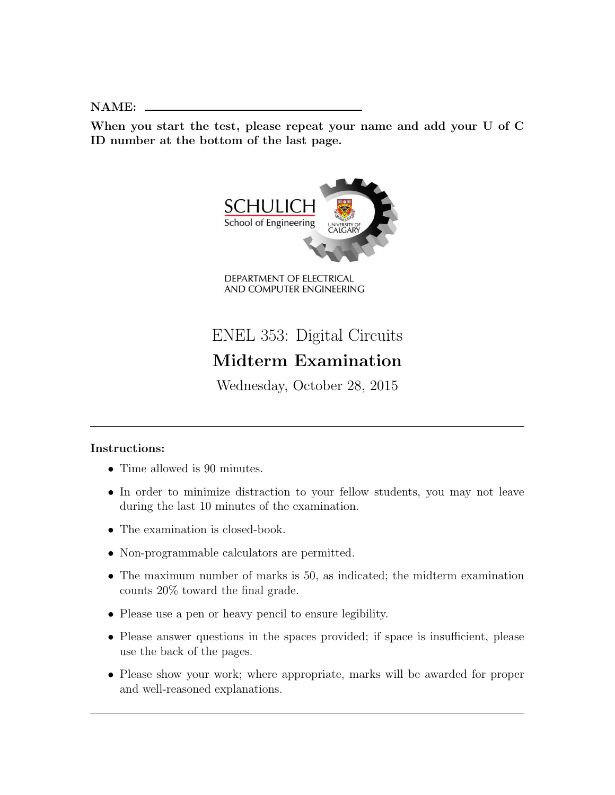NAME:

When you start the test, please repeat your name and add your U of C ID number at the bottom of the last page.



ENEL 353: Digital Circuits Midterm Examination

Wednesday, October 28, 2015

## Instructions:

- Time allowed is 90 minutes.
- In order to minimize distraction to your fellow students, you may not leave during the last 10 minutes of the examination.
- The examination is closed-book.
- Non-programmable calculators are permitted.
- The maximum number of marks is 50, as indicated; the midterm examination counts 20% toward the final grade.
- Please use a pen or heavy pencil to ensure legibility.
- Please answer questions in the spaces provided; if space is insufficient, please use the back of the pages.
- Please show your work; where appropriate, marks will be awarded for proper and well-reasoned explanations.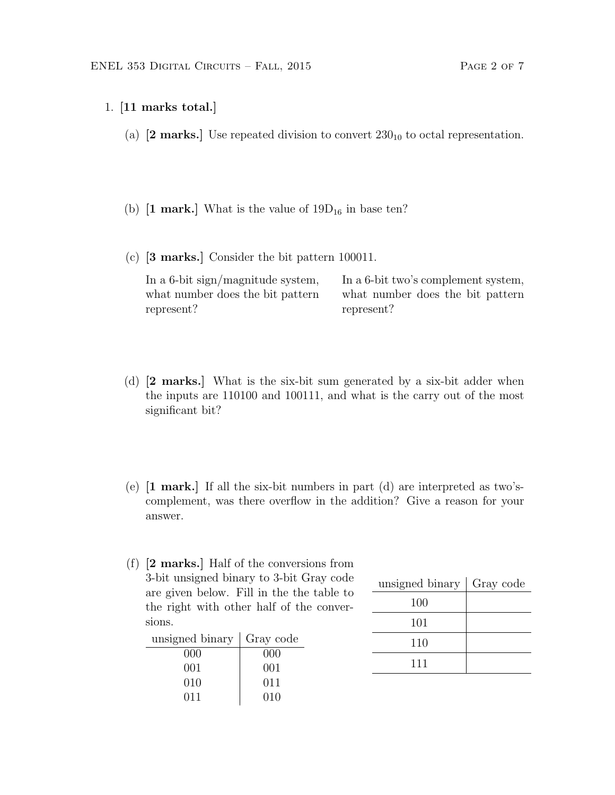- 1. [11 marks total.]
	- (a)  $[2 \text{ marks.}]$  Use repeated division to convert  $230_{10}$  to octal representation.
	- (b)  $[1 \text{ mark.}]$  What is the value of  $19D_{16}$  in base ten?
	- (c) [3 marks.] Consider the bit pattern 100011.

In a 6-bit sign/magnitude system, what number does the bit pattern represent? In a 6-bit two's complement system, what number does the bit pattern represent?

- (d) [2 marks.] What is the six-bit sum generated by a six-bit adder when the inputs are 110100 and 100111, and what is the carry out of the most significant bit?
- (e)  $\lceil 1 \text{ mark.} \rceil$  If all the six-bit numbers in part (d) are interpreted as two'scomplement, was there overflow in the addition? Give a reason for your answer.
- (f) [2 marks.] Half of the conversions from 3-bit unsigned binary to 3-bit Gray code are given below. Fill in the the table to the right with other half of the conversions.

| unsigned binary | Gray code |
|-----------------|-----------|
| 000             | 000       |
| 001             | 001       |
| 010             | 011       |
| 011             | 010       |

| unsigned binary   Gray code |  |
|-----------------------------|--|
| 100                         |  |
| 101                         |  |
| 110                         |  |
| 111                         |  |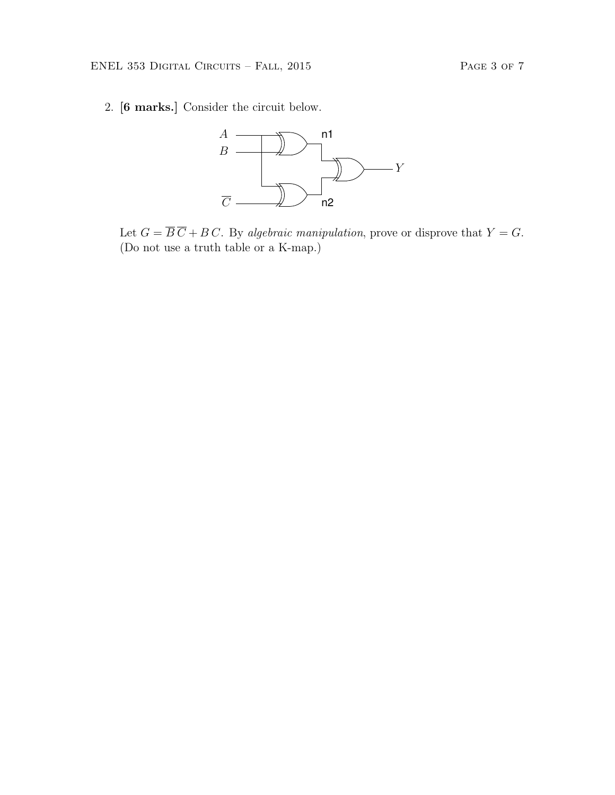2. [6 marks.] Consider the circuit below.



Let  $G = \overline{B} \overline{C} + B C$ . By algebraic manipulation, prove or disprove that  $Y = G$ . (Do not use a truth table or a K-map.)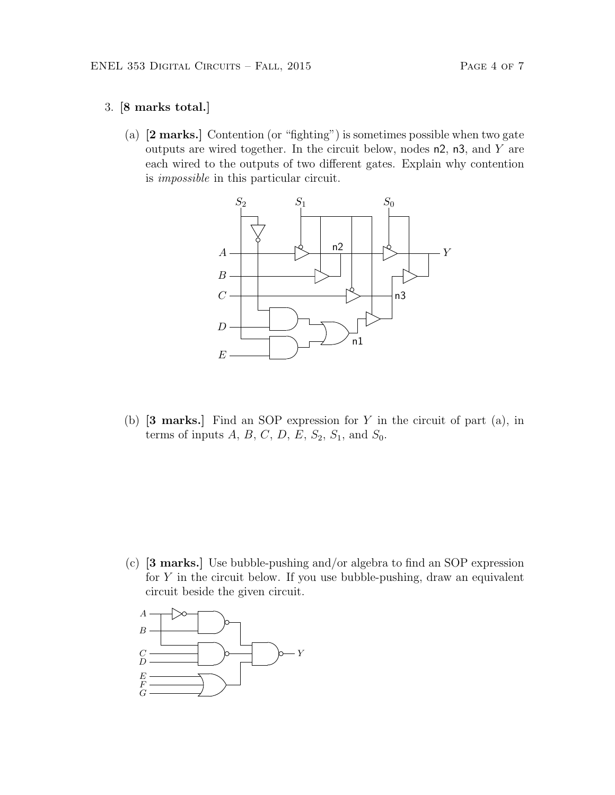## 3. [8 marks total.]

(a) [2 marks.] Contention (or "fighting") is sometimes possible when two gate outputs are wired together. In the circuit below, nodes  $n2$ ,  $n3$ , and Y are each wired to the outputs of two different gates. Explain why contention is impossible in this particular circuit.



(b)  $[3 \text{ marks.}]$  Find an SOP expression for Y in the circuit of part  $(a)$ , in terms of inputs  $A, B, C, D, E, S_2, S_1$ , and  $S_0$ .

(c) [3 marks.] Use bubble-pushing and/or algebra to find an SOP expression for  $Y$  in the circuit below. If you use bubble-pushing, draw an equivalent circuit beside the given circuit.

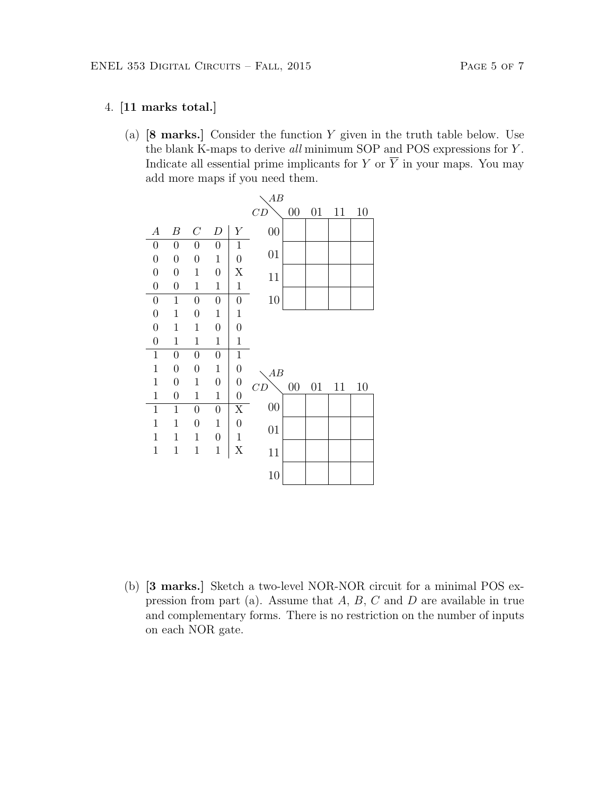## 4. [11 marks total.]

(a)  $[8 \text{ marks.}]$  Consider the function Y given in the truth table below. Use the blank K-maps to derive all minimum SOP and POS expressions for Y . Indicate all essential prime implicants for Y or  $\overline{Y}$  in your maps. You may add more maps if you need them.



(b) [3 marks.] Sketch a two-level NOR-NOR circuit for a minimal POS expression from part (a). Assume that  $A, B, C$  and  $D$  are available in true and complementary forms. There is no restriction on the number of inputs on each NOR gate.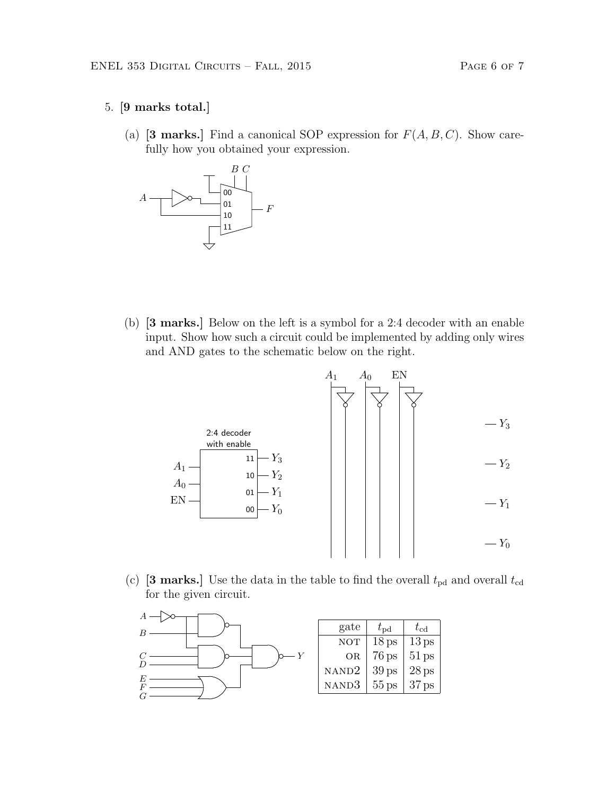- 5. [9 marks total.]
	- (a) [3 marks.] Find a canonical SOP expression for  $F(A, B, C)$ . Show carefully how you obtained your expression.



(b) [3 marks.] Below on the left is a symbol for a 2:4 decoder with an enable input. Show how such a circuit could be implemented by adding only wires and AND gates to the schematic below on the right.



(c) [3 marks.] Use the data in the table to find the overall  $t_{\text{pd}}$  and overall  $t_{\text{cd}}$ for the given circuit.